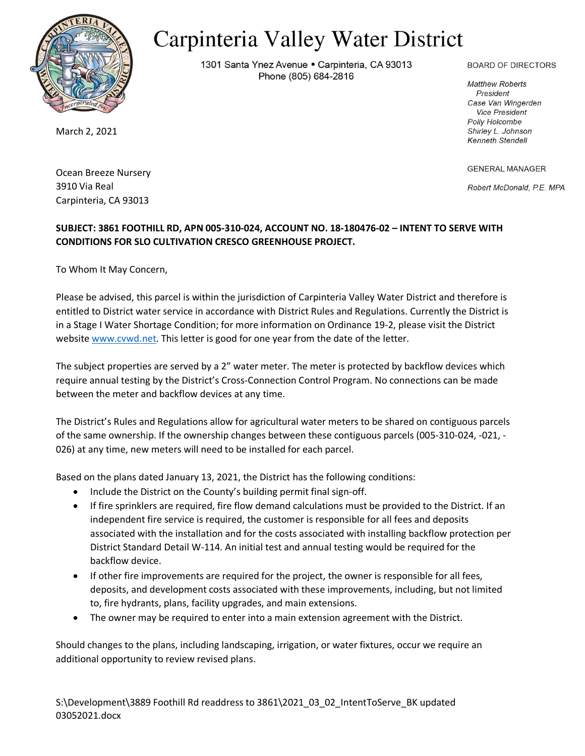

## Carpinteria Valley Water District

1301 Santa Ynez Avenue . Carpinteria, CA 93013 Phone (805) 684-2816

**BOARD OF DIRECTORS** 

**Matthew Roberts** President Case Van Wingerden **Vice President Polly Holcombe** Shirley L. Johnson Kenneth Stendell

**GENERAL MANAGER** 

Robert McDonald, P.E. MPA

March 2, 2021

Ocean Breeze Nursery 3910 Via Real Carpinteria, CA 93013

## **SUBJECT: 3861 FOOTHILL RD, APN 005-310-024, ACCOUNT NO. 18-180476-02 – INTENT TO SERVE WITH CONDITIONS FOR SLO CULTIVATION CRESCO GREENHOUSE PROJECT.**

To Whom It May Concern,

Please be advised, this parcel is within the jurisdiction of Carpinteria Valley Water District and therefore is entitled to District water service in accordance with District Rules and Regulations. Currently the District is in a Stage I Water Shortage Condition; for more information on Ordinance 19-2, please visit the District website [www.cvwd.net.](http://www.cvwd.net/) This letter is good for one year from the date of the letter.

The subject properties are served by a 2" water meter. The meter is protected by backflow devices which require annual testing by the District's Cross-Connection Control Program. No connections can be made between the meter and backflow devices at any time.

The District's Rules and Regulations allow for agricultural water meters to be shared on contiguous parcels of the same ownership. If the ownership changes between these contiguous parcels (005-310-024, -021, - 026) at any time, new meters will need to be installed for each parcel.

Based on the plans dated January 13, 2021, the District has the following conditions:

- Include the District on the County's building permit final sign-off.
- If fire sprinklers are required, fire flow demand calculations must be provided to the District. If an independent fire service is required, the customer is responsible for all fees and deposits associated with the installation and for the costs associated with installing backflow protection per District Standard Detail W-114. An initial test and annual testing would be required for the backflow device.
- If other fire improvements are required for the project, the owner is responsible for all fees, deposits, and development costs associated with these improvements, including, but not limited to, fire hydrants, plans, facility upgrades, and main extensions.
- The owner may be required to enter into a main extension agreement with the District.

Should changes to the plans, including landscaping, irrigation, or water fixtures, occur we require an additional opportunity to review revised plans.